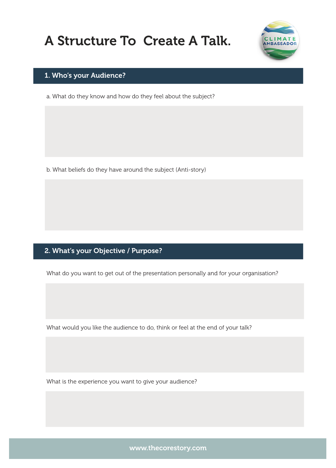# A Structure To Create A Talk.



#### 1. Who's your Audience?

a. What do they know and how do they feel about the subject?

b. What beliefs do they have around the subject (Anti-story)

### 2. What's your Objective / Purpose?

What do you want to get out of the presentation personally and for your organisation?

What would you like the audience to do, think or feel at the end of your talk?

What is the experience you want to give your audience?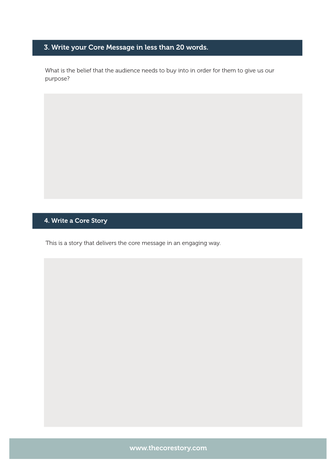## 3. Write your Core Message in less than 20 words.

What is the belief that the audience needs to buy into in order for them to give us our purpose?

#### 4. Write a Core Story

This is a story that delivers the core message in an engaging way.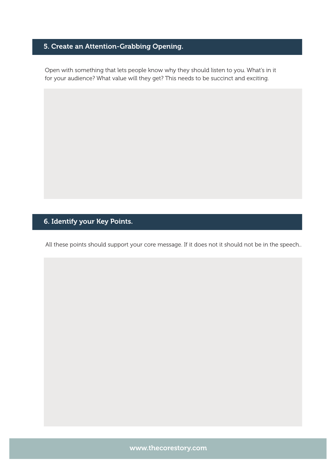## 5. Create an Attention-Grabbing Opening.

Open with something that lets people know why they should listen to you. What's in it for your audience? What value will they get? This needs to be succinct and exciting.

## 6. Identify your Key Points.

All these points should support your core message. If it does not it should not be in the speech..